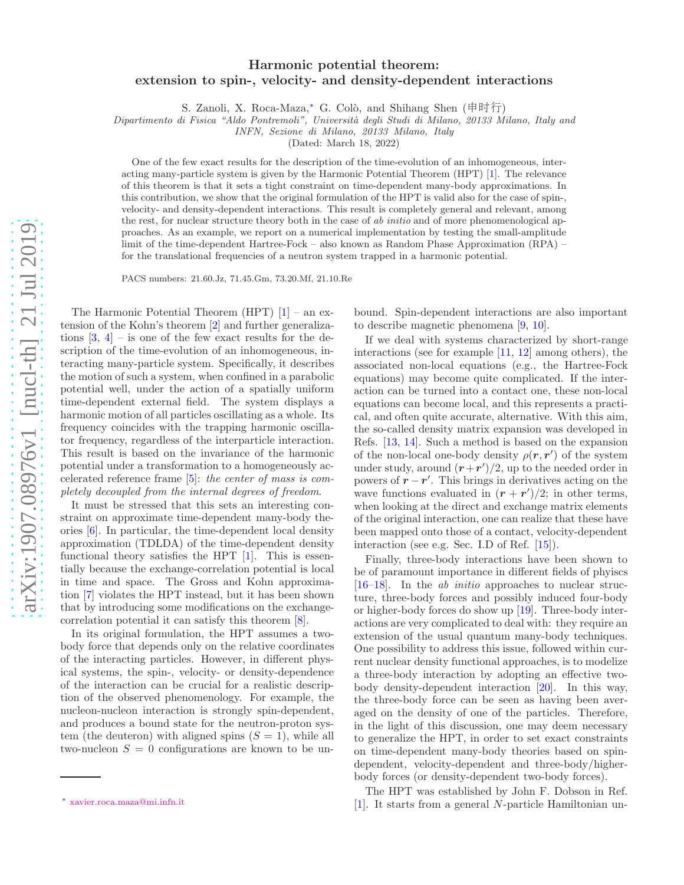## Harmonic potential theorem: extension to spin-, velocity- and density-dependent interactions

S. Zanoli, X. Roca-Maza,\* G. Colò, and Shihang Shen (申时行)

Dipartimento di Fisica "Aldo Pontremoli", Università degli Studi di Milano, 20133 Milano, Italy and

INFN, Sezione di Milano, 20133 Milano, Italy

(Dated: March 18, 2022)

One of the few exact results for the description of the time-evolution of an inhomogeneous, interacting many-particle system is given by the Harmonic Potential Theorem (HPT) [\[1\]](#page-4-0). The relevance of this theorem is that it sets a tight constraint on time-dependent many-body approximations. In this contribution, we show that the original formulation of the HPT is valid also for the case of spin-, velocity- and density-dependent interactions. This result is completely general and relevant, among the rest, for nuclear structure theory both in the case of ab initio and of more phenomenological approaches. As an example, we report on a numerical implementation by testing the small-amplitude limit of the time-dependent Hartree-Fock – also known as Random Phase Approximation (RPA) – for the translational frequencies of a neutron system trapped in a harmonic potential.

PACS numbers: 21.60.Jz, 71.45.Gm, 73.20.Mf, 21.10.Re

The Harmonic Potential Theorem (HPT)  $[1]$  – an extension of the Kohn's theorem [\[2\]](#page-4-1) and further generalizations  $[3, 4]$  $[3, 4]$  – is one of the few exact results for the description of the time-evolution of an inhomogeneous, interacting many-particle system. Specifically, it describes the motion of such a system, when confined in a parabolic potential well, under the action of a spatially uniform time-dependent external field. The system displays a harmonic motion of all particles oscillating as a whole. Its frequency coincides with the trapping harmonic oscillator frequency, regardless of the interparticle interaction. This result is based on the invariance of the harmonic potential under a transformation to a homogeneously accelerated reference frame [\[5\]](#page-4-4): the center of mass is completely decoupled from the internal degrees of freedom.

It must be stressed that this sets an interesting constraint on approximate time-dependent many-body theories [\[6](#page-4-5)]. In particular, the time-dependent local density approximation (TDLDA) of the time-dependent density functional theory satisfies the HPT  $[1]$ . This is essentially because the exchange-correlation potential is local in time and space. The Gross and Kohn approximation [\[7](#page-4-6)] violates the HPT instead, but it has been shown that by introducing some modifications on the exchangecorrelation potential it can satisfy this theorem [\[8](#page-4-7)].

In its original formulation, the HPT assumes a twobody force that depends only on the relative coordinates of the interacting particles. However, in different physical systems, the spin-, velocity- or density-dependence of the interaction can be crucial for a realistic description of the observed phenomenology. For example, the nucleon-nucleon interaction is strongly spin-dependent, and produces a bound state for the neutron-proton system (the deuteron) with aligned spins  $(S = 1)$ , while all two-nucleon  $S = 0$  configurations are known to be un-

bound. Spin-dependent interactions are also important to describe magnetic phenomena [\[9,](#page-4-8) [10\]](#page-4-9).

If we deal with systems characterized by short-range interactions (see for example [\[11,](#page-4-10) [12\]](#page-4-11) among others), the associated non-local equations (e.g., the Hartree-Fock equations) may become quite complicated. If the interaction can be turned into a contact one, these non-local equations can become local, and this represents a practical, and often quite accurate, alternative. With this aim, the so-called density matrix expansion was developed in Refs. [\[13,](#page-4-12) [14\]](#page-4-13). Such a method is based on the expansion of the non-local one-body density  $\rho(\mathbf{r}, \mathbf{r}')$  of the system under study, around  $(r+r')/2$ , up to the needed order in powers of  $\mathbf{r} - \mathbf{r}'$ . This brings in derivatives acting on the wave functions evaluated in  $(r + r')/2$ ; in other terms, when looking at the direct and exchange matrix elements of the original interaction, one can realize that these have been mapped onto those of a contact, velocity-dependent interaction (see e.g. Sec. I.D of Ref. [\[15\]](#page-4-14)).

Finally, three-body interactions have been shown to be of paramount importance in different fields of phyiscs [\[16](#page-4-15)[–18\]](#page-4-16). In the ab initio approaches to nuclear structure, three-body forces and possibly induced four-body or higher-body forces do show up [\[19](#page-4-17)]. Three-body interactions are very complicated to deal with: they require an extension of the usual quantum many-body techniques. One possibility to address this issue, followed within current nuclear density functional approaches, is to modelize a three-body interaction by adopting an effective twobody density-dependent interaction [\[20\]](#page-4-18). In this way, the three-body force can be seen as having been averaged on the density of one of the particles. Therefore, in the light of this discussion, one may deem necessary to generalize the HPT, in order to set exact constraints on time-dependent many-body theories based on spindependent, velocity-dependent and three-body/higherbody forces (or density-dependent two-body forces).

The HPT was established by John F. Dobson in Ref. [\[1\]](#page-4-0). It starts from a general N-particle Hamiltonian un-

<span id="page-0-0"></span><sup>∗</sup> [xavier.roca.maza@mi.infn.it](mailto:xavier.roca.maza@mi.infn.it)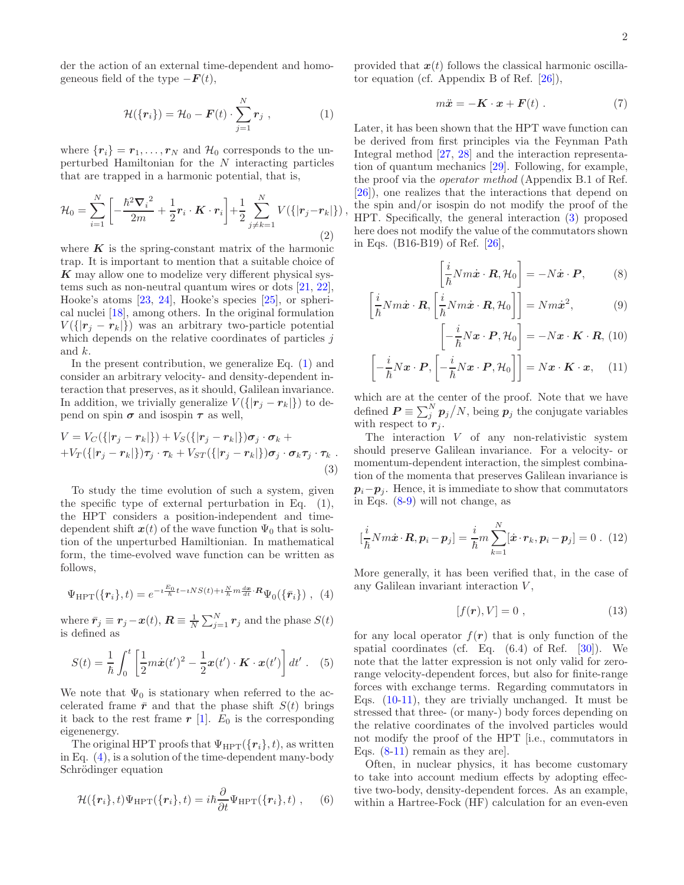der the action of an external time-dependent and homogeneous field of the type  $-F(t)$ ,

<span id="page-1-0"></span>
$$
\mathcal{H}(\lbrace \boldsymbol{r}_i \rbrace) = \mathcal{H}_0 - \boldsymbol{F}(t) \cdot \sum_{j=1}^N \boldsymbol{r}_j \;, \tag{1}
$$

where  $\{r_i\} = r_1, \ldots, r_N$  and  $\mathcal{H}_0$  corresponds to the unperturbed Hamiltonian for the N interacting particles that are trapped in a harmonic potential, that is,

$$
\mathcal{H}_0 = \sum_{i=1}^N \left[ -\frac{\hbar^2 \nabla_i^2}{2m} + \frac{1}{2} \mathbf{r}_i \cdot \mathbf{K} \cdot \mathbf{r}_i \right] + \frac{1}{2} \sum_{j \neq k=1}^N V(\{|\mathbf{r}_j - \mathbf{r}_k|\}),\tag{2}
$$

where  $\boldsymbol{K}$  is the spring-constant matrix of the harmonic trap. It is important to mention that a suitable choice of  $K$  may allow one to modelize very different physical systems such as non-neutral quantum wires or dots [\[21,](#page-4-19) [22\]](#page-4-20), Hooke's atoms [\[23](#page-4-21), [24\]](#page-4-22), Hooke's species [\[25\]](#page-4-23), or spherical nuclei [\[18](#page-4-16)], among others. In the original formulation  $V({[r_j - r_k]})$  was an arbitrary two-particle potential which depends on the relative coordinates of particles  $j$ and k.

In the present contribution, we generalize Eq. [\(1\)](#page-1-0) and consider an arbitrary velocity- and density-dependent interaction that preserves, as it should, Galilean invariance. In addition, we trivially generalize  $V(\{|\mathbf{r}_i - \mathbf{r}_k|\})$  to depend on spin  $\sigma$  and isospin  $\tau$  as well,

<span id="page-1-2"></span>
$$
V = V_C({\vert \mathbf{r}_j - \mathbf{r}_k \vert}) + V_S({\vert \mathbf{r}_j - \mathbf{r}_k \vert})\boldsymbol{\sigma}_j \cdot \boldsymbol{\sigma}_k ++ V_T({\vert \mathbf{r}_j - \mathbf{r}_k \vert})\boldsymbol{\tau}_j \cdot \boldsymbol{\tau}_k + V_{ST}({\vert \mathbf{r}_j - \mathbf{r}_k \vert})\boldsymbol{\sigma}_j \cdot \boldsymbol{\sigma}_k \boldsymbol{\tau}_j \cdot \boldsymbol{\tau}_k.
$$
\n(3)

To study the time evolution of such a system, given the specific type of external perturbation in Eq. (1), the HPT considers a position-independent and timedependent shift  $x(t)$  of the wave function  $\Psi_0$  that is solution of the unperturbed Hamiltionian. In mathematical form, the time-evolved wave function can be written as follows,

<span id="page-1-1"></span>
$$
\Psi_{\text{HPT}}(\lbrace \mathbf{r}_i \rbrace, t) = e^{-i\frac{E_0}{\hbar}t - iNS(t) + i\frac{N}{\hbar}m\frac{d\mathbf{x}}{dt} \cdot \mathbf{R}} \Psi_0(\lbrace \bar{\mathbf{r}}_i \rbrace) , \tag{4}
$$

where  $\bar{r}_j \equiv \bm{r}_j - \bm{x}(t)$ ,  $\bm{R} \equiv \frac{1}{N} \sum_{j=1}^{N} \bm{r}_j$  and the phase  $S(t)$ is defined as

$$
S(t) = \frac{1}{\hbar} \int_0^t \left[ \frac{1}{2} m \dot{x}(t')^2 - \frac{1}{2} x(t') \cdot \boldsymbol{K} \cdot x(t') \right] dt' \ . \tag{5}
$$

We note that  $\Psi_0$  is stationary when referred to the accelerated frame  $\bar{r}$  and that the phase shift  $S(t)$  brings it back to the rest frame  $r$  [\[1\]](#page-4-0).  $E_0$  is the corresponding eigenenergy.

The original HPT proofs that  $\Psi_{\text{HPT}}(\{r_i\}, t)$ , as written in Eq. [\(4\)](#page-1-1), is a solution of the time-dependent many-body Schrödinger equation

$$
\mathcal{H}(\lbrace \mathbf{r}_i \rbrace, t) \Psi_{\text{HPT}}(\lbrace \mathbf{r}_i \rbrace, t) = i\hbar \frac{\partial}{\partial t} \Psi_{\text{HPT}}(\lbrace \mathbf{r}_i \rbrace, t) , \quad (6)
$$

provided that  $x(t)$  follows the classical harmonic oscillator equation (cf. Appendix B of Ref. [\[26\]](#page-4-24)),

$$
m\ddot{x} = -\mathbf{K} \cdot \mathbf{x} + \mathbf{F}(t) \ . \tag{7}
$$

Later, it has been shown that the HPT wave function can be derived from first principles via the Feynman Path Integral method [\[27,](#page-4-25) [28](#page-4-26)] and the interaction representation of quantum mechanics [\[29\]](#page-4-27). Following, for example, the proof via the operator method (Appendix B.1 of Ref. [\[26\]](#page-4-24)), one realizes that the interactions that depend on the spin and/or isospin do not modify the proof of the HPT. Specifically, the general interaction [\(3\)](#page-1-2) proposed here does not modify the value of the commutators shown in Eqs. (B16-B19) of Ref. [\[26](#page-4-24)],

<span id="page-1-3"></span>
$$
\left[\frac{i}{\hbar}Nm\dot{\boldsymbol{x}}\cdot\boldsymbol{R},\mathcal{H}_0\right] = -N\dot{\boldsymbol{x}}\cdot\boldsymbol{P},\qquad(8)
$$

$$
\left[\frac{i}{\hbar}Nm\dot{\mathbf{x}}\cdot\mathbf{R},\left[\frac{i}{\hbar}Nm\dot{\mathbf{x}}\cdot\mathbf{R},\mathcal{H}_0\right]\right]=Nm\dot{\mathbf{x}}^2,\tag{9}
$$

$$
-\frac{i}{\hbar}N\boldsymbol{x}\cdot\boldsymbol{P},\mathcal{H}_0\bigg] = -N\boldsymbol{x}\cdot\boldsymbol{K}\cdot\boldsymbol{R},\,(10)
$$

$$
\left[-\frac{i}{\hbar}N\boldsymbol{x}\cdot\boldsymbol{P},\left[-\frac{i}{\hbar}N\boldsymbol{x}\cdot\boldsymbol{P},\mathcal{H}_0\right]\right]=N\boldsymbol{x}\cdot\boldsymbol{K}\cdot\boldsymbol{x},\quad(11)
$$

which are at the center of the proof. Note that we have defined  $\boldsymbol{P} \equiv \sum_{j}^{N} p_j/N$ , being  $p_j$  the conjugate variables with respect to  $r_j$ .

The interaction  $V$  of any non-relativistic system should preserve Galilean invariance. For a velocity- or momentum-dependent interaction, the simplest combination of the momenta that preserves Galilean invariance is  $p_i-p_j$ . Hence, it is immediate to show that commutators in Eqs. [\(8-9\)](#page-1-3) will not change, as

$$
\left[\frac{i}{\hbar}Nm\dot{\boldsymbol{x}}\cdot\boldsymbol{R},\boldsymbol{p}_i-\boldsymbol{p}_j\right]=\frac{i}{\hbar}m\sum_{k=1}^N[\dot{\boldsymbol{x}}\cdot\boldsymbol{r}_k,\boldsymbol{p}_i-\boldsymbol{p}_j]=0\ .\ (12)
$$

More generally, it has been verified that, in the case of any Galilean invariant interaction  $V$ ,

<span id="page-1-4"></span>
$$
[f(\mathbf{r}), V] = 0 \tag{13}
$$

for any local operator  $f(r)$  that is only function of the spatial coordinates (cf. Eq.  $(6.4)$  of Ref.  $[30]$ ). We note that the latter expression is not only valid for zerorange velocity-dependent forces, but also for finite-range forces with exchange terms. Regarding commutators in Eqs. [\(10-11\)](#page-1-3), they are trivially unchanged. It must be stressed that three- (or many-) body forces depending on the relative coordinates of the involved particles would not modify the proof of the HPT [i.e., commutators in Eqs.  $(8-11)$  remain as they are.

Often, in nuclear physics, it has become customary to take into account medium effects by adopting effective two-body, density-dependent forces. As an example, within a Hartree-Fock (HF) calculation for an even-even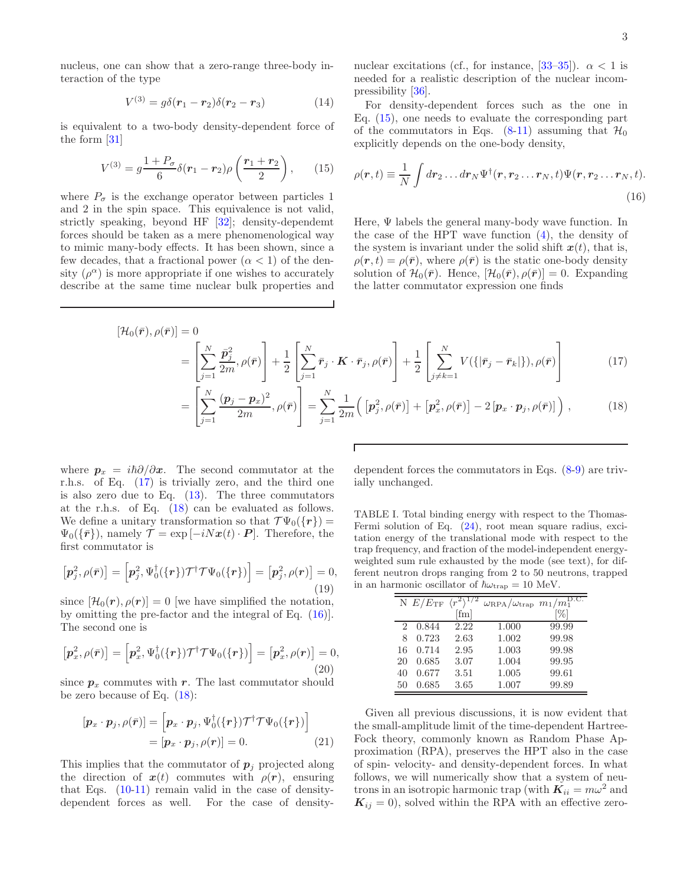nucleus, one can show that a zero-range three-body interaction of the type

$$
V^{(3)} = g\delta(\mathbf{r}_1 - \mathbf{r}_2)\delta(\mathbf{r}_2 - \mathbf{r}_3)
$$
 (14)

is equivalent to a two-body density-dependent force of the form [\[31\]](#page-4-29)

<span id="page-2-0"></span>
$$
V^{(3)} = g \frac{1 + P_{\sigma}}{6} \delta(r_1 - r_2) \rho \left(\frac{r_1 + r_2}{2}\right), \qquad (15)
$$

where  $P_{\sigma}$  is the exchange operator between particles 1 and 2 in the spin space. This equivalence is not valid, strictly speaking, beyond HF [\[32](#page-4-30)]; density-dependemt forces should be taken as a mere phenomenological way to mimic many-body effects. It has been shown, since a few decades, that a fractional power  $(\alpha < 1)$  of the density  $(\rho^{\alpha})$  is more appropriate if one wishes to accurately describe at the same time nuclear bulk properties and

nuclear excitations (cf., for instance, [\[33](#page-4-31)[–35\]](#page-4-32)).  $\alpha < 1$  is needed for a realistic description of the nuclear incompressibility [\[36](#page-4-33)].

For density-dependent forces such as the one in Eq. [\(15\)](#page-2-0), one needs to evaluate the corresponding part of the commutators in Eqs.  $(8-11)$  assuming that  $\mathcal{H}_0$ explicitly depends on the one-body density,

<span id="page-2-2"></span>
$$
\rho(\mathbf{r},t) \equiv \frac{1}{N} \int d\mathbf{r}_2 \dots d\mathbf{r}_N \Psi^{\dagger}(\mathbf{r},\mathbf{r}_2 \dots \mathbf{r}_N,t) \Psi(\mathbf{r},\mathbf{r}_2 \dots \mathbf{r}_N,t).
$$
\n(16)

Here,  $\Psi$  labels the general many-body wave function. In the case of the HPT wave function [\(4\)](#page-1-1), the density of the system is invariant under the solid shift  $x(t)$ , that is,  $\rho(\mathbf{r}, t) = \rho(\bar{\mathbf{r}})$ , where  $\rho(\bar{\mathbf{r}})$  is the static one-body density solution of  $\mathcal{H}_0(\bar{r})$ . Hence,  $[\mathcal{H}_0(\bar{r}), \rho(\bar{r})] = 0$ . Expanding the latter commutator expression one finds

<span id="page-2-1"></span>
$$
[\mathcal{H}_0(\bar{r}), \rho(\bar{r})] = 0
$$
  
= 
$$
\left[\sum_{j=1}^N \frac{\bar{p}_j^2}{2m}, \rho(\bar{r})\right] + \frac{1}{2} \left[\sum_{j=1}^N \bar{r}_j \cdot \mathbf{K} \cdot \bar{r}_j, \rho(\bar{r})\right] + \frac{1}{2} \left[\sum_{j \neq k=1}^N V(\{|\bar{r}_j - \bar{r}_k|\}), \rho(\bar{r})\right]
$$
(17)

$$
= \left[\sum_{j=1}^{N} \frac{(\boldsymbol{p}_j - \boldsymbol{p}_x)^2}{2m}, \rho(\bar{\boldsymbol{r}})\right] = \sum_{j=1}^{N} \frac{1}{2m} \Big(\left[\boldsymbol{p}_j^2, \rho(\bar{\boldsymbol{r}})\right] + \left[\boldsymbol{p}_x^2, \rho(\bar{\boldsymbol{r}})\right] - 2\left[\boldsymbol{p}_x \cdot \boldsymbol{p}_j, \rho(\bar{\boldsymbol{r}})\right]\Big),\tag{18}
$$

where  $p_x = i\hbar \partial/\partial x$ . The second commutator at the r.h.s. of Eq. [\(17\)](#page-2-1) is trivially zero, and the third one is also zero due to Eq.  $(13)$ . The three commutators at the r.h.s. of Eq. [\(18\)](#page-2-1) can be evaluated as follows. We define a unitary transformation so that  $\mathcal{TW}_0({\lbrace r \rbrace}) =$  $\Psi_0(\{\bar{r}\}),$  namely  $\mathcal{T} = \exp[-iNx(t) \cdot \bm{P}]$ . Therefore, the first commutator is

$$
\left[\mathbf{p}_j^2, \rho(\bar{\mathbf{r}})\right] = \left[\mathbf{p}_j^2, \Psi_0^{\dagger}(\{\mathbf{r}\}) \mathcal{T}^{\dagger} \mathcal{T} \Psi_0(\{\mathbf{r}\})\right] = \left[\mathbf{p}_j^2, \rho(\mathbf{r})\right] = 0,
$$
\n(19)

since  $[\mathcal{H}_0(\mathbf{r}), \rho(\mathbf{r})] = 0$  [we have simplified the notation, by omitting the pre-factor and the integral of Eq. [\(16\)](#page-2-2)]. The second one is

$$
\left[\mathbf{p}_x^2, \rho(\bar{\mathbf{r}})\right] = \left[\mathbf{p}_x^2, \Psi_0^{\dagger}(\{\mathbf{r}\}) \mathcal{T}^{\dagger} \mathcal{T} \Psi_0(\{\mathbf{r}\})\right] = \left[\mathbf{p}_x^2, \rho(\mathbf{r})\right] = 0,
$$
\n(20)

since  $p_x$  commutes with r. The last commutator should be zero because of Eq. [\(18\)](#page-2-1):

$$
[\boldsymbol{p}_x \cdot \boldsymbol{p}_j, \rho(\bar{\boldsymbol{r}})] = [\boldsymbol{p}_x \cdot \boldsymbol{p}_j, \Psi_0^\dagger(\{\boldsymbol{r}\}) \mathcal{T}^\dagger \mathcal{T} \Psi_0(\{\boldsymbol{r}\})] \\ = [\boldsymbol{p}_x \cdot \boldsymbol{p}_j, \rho(\boldsymbol{r})] = 0. \tag{21}
$$

This implies that the commutator of  $p_i$  projected along the direction of  $x(t)$  commutes with  $\rho(r)$ , ensuring that Eqs.  $(10-11)$  remain valid in the case of densitydependent forces as well. For the case of density-

dependent forces the commutators in Eqs. [\(8-9\)](#page-1-3) are trivially unchanged.

<span id="page-2-3"></span>TABLE I. Total binding energy with respect to the Thomas-Fermi solution of Eq. [\(24\)](#page-3-0), root mean square radius, excitation energy of the translational mode with respect to the trap frequency, and fraction of the model-independent energyweighted sum rule exhausted by the mode (see text), for different neutron drops ranging from 2 to 50 neutrons, trapped in an harmonic oscillator of  $\hbar\omega_{\rm trap} = 10$  MeV.

|    | N $E/E_{\rm TF}$ | $\langle r^2 \rangle^{1/2}$ | $\omega_{\rm RPA}/\omega_{\rm trap}\ m_1\overline{/m_1^{\rm D.C.}}$ |       |
|----|------------------|-----------------------------|---------------------------------------------------------------------|-------|
|    |                  | [fm]                        |                                                                     | [%]   |
| 2  | 0.844            | 2.22                        | 1.000                                                               | 99.99 |
| 8  | 0.723            | 2.63                        | 1.002                                                               | 99.98 |
| 16 | 0.714            | 2.95                        | 1.003                                                               | 99.98 |
| 20 | 0.685            | 3.07                        | 1.004                                                               | 99.95 |
| 40 | 0.677            | 3.51                        | 1.005                                                               | 99.61 |
| 50 | 0.685            | 3.65                        | 1.007                                                               | 99.89 |

Given all previous discussions, it is now evident that the small-amplitude limit of the time-dependent Hartree-Fock theory, commonly known as Random Phase Approximation (RPA), preserves the HPT also in the case of spin- velocity- and density-dependent forces. In what follows, we will numerically show that a system of neutrons in an isotropic harmonic trap (with  $K_{ii} = m\omega^2$  and  $\mathbf{K}_{ij} = 0$ , solved within the RPA with an effective zero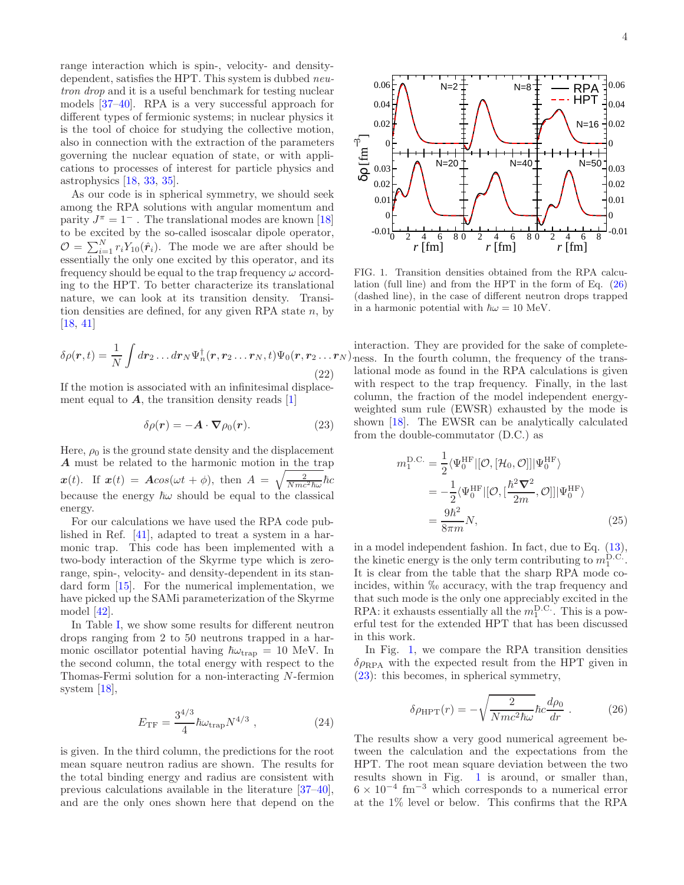range interaction which is spin-, velocity- and densitydependent, satisfies the HPT. This system is dubbed *neu*tron drop and it is a useful benchmark for testing nuclear models [\[37](#page-4-34)[–40](#page-4-35)]. RPA is a very successful approach for different types of fermionic systems; in nuclear physics it is the tool of choice for studying the collective motion, also in connection with the extraction of the parameters governing the nuclear equation of state, or with applications to processes of interest for particle physics and astrophysics [\[18,](#page-4-16) [33,](#page-4-31) [35\]](#page-4-32).

As our code is in spherical symmetry, we should seek among the RPA solutions with angular momentum and parity  $J^{\pi} = 1^{-}$ . The translational modes are known [\[18](#page-4-16)] to be excited by the so-called isoscalar dipole operator,  $\mathcal{O} = \sum_{i=1}^{N} r_i Y_{10}(\hat{r}_i)$ . The mode we are after should be essentially the only one excited by this operator, and its frequency should be equal to the trap frequency  $\omega$  according to the HPT. To better characterize its translational nature, we can look at its transition density. Transition densities are defined, for any given RPA state  $n$ , by [\[18,](#page-4-16) [41\]](#page-4-36)

$$
\delta \rho(\mathbf{r},t) = \frac{1}{N} \int d\mathbf{r}_2 \dots d\mathbf{r}_N \Psi_n^{\dagger}(\mathbf{r},\mathbf{r}_2 \dots \mathbf{r}_N,t) \Psi_0(\mathbf{r},\mathbf{r}_2 \dots \mathbf{r}_N).
$$
\n(22)

If the motion is associated with an infinitesimal displacement equal to  $\boldsymbol{A}$ , the transition density reads [\[1](#page-4-0)]

<span id="page-3-3"></span>
$$
\delta \rho(\mathbf{r}) = -\mathbf{A} \cdot \nabla \rho_0(\mathbf{r}). \tag{23}
$$

Here,  $\rho_0$  is the ground state density and the displacement A must be related to the harmonic motion in the trap  $\mathbf{x}(t)$ . If  $\mathbf{x}(t) = A\cos(\omega t + \phi)$ , then  $A = \sqrt{\frac{2}{Nmc^2\hbar\omega}}\hbar c$ because the energy  $\hbar\omega$  should be equal to the classical energy.

For our calculations we have used the RPA code published in Ref. [\[41\]](#page-4-36), adapted to treat a system in a harmonic trap. This code has been implemented with a two-body interaction of the Skyrme type which is zerorange, spin-, velocity- and density-dependent in its standard form [\[15\]](#page-4-14). For the numerical implementation, we have picked up the SAMi parameterization of the Skyrme model [\[42](#page-4-37)].

In Table [I,](#page-2-3) we show some results for different neutron drops ranging from 2 to 50 neutrons trapped in a harmonic oscillator potential having  $\hbar\omega_{\text{trap}} = 10$  MeV. In the second column, the total energy with respect to the Thomas-Fermi solution for a non-interacting N-fermion system [\[18\]](#page-4-16),

<span id="page-3-0"></span>
$$
E_{\rm TF} = \frac{3^{4/3}}{4} \hbar \omega_{\rm trap} N^{4/3} \;, \tag{24}
$$

is given. In the third column, the predictions for the root mean square neutron radius are shown. The results for the total binding energy and radius are consistent with previous calculations available in the literature [\[37](#page-4-34)[–40\]](#page-4-35), and are the only ones shown here that depend on the



<span id="page-3-2"></span>FIG. 1. Transition densities obtained from the RPA calculation (full line) and from the HPT in the form of Eq. [\(26\)](#page-3-1) (dashed line), in the case of different neutron drops trapped in a harmonic potential with  $\hbar\omega = 10$  MeV.

interaction. They are provided for the sake of completeness. In the fourth column, the frequency of the translational mode as found in the RPA calculations is given with respect to the trap frequency. Finally, in the last column, the fraction of the model independent energyweighted sum rule (EWSR) exhausted by the mode is shown [\[18\]](#page-4-16). The EWSR can be analytically calculated from the double-commutator (D.C.) as

$$
m_1^{\text{D.C.}} = \frac{1}{2} \langle \Psi_0^{\text{HF}} | [\mathcal{O}, [\mathcal{H}_0, \mathcal{O}]] | \Psi_0^{\text{HF}} \rangle
$$
  

$$
= -\frac{1}{2} \langle \Psi_0^{\text{HF}} | [\mathcal{O}, [\frac{\hbar^2 \nabla^2}{2m}, \mathcal{O}]] | \Psi_0^{\text{HF}} \rangle
$$
  

$$
= \frac{9\hbar^2}{8\pi m} N,
$$
 (25)

in a model independent fashion. In fact, due to Eq. [\(13\)](#page-1-4), the kinetic energy is the only term contributing to  $m_1^{\text{D.C.}}$ . It is clear from the table that the sharp RPA mode coincides, within  $\%$  accuracy, with the trap frequency and that such mode is the only one appreciably excited in the RPA: it exhausts essentially all the  $m_1^{\text{D.C.}}$ . This is a powerful test for the extended HPT that has been discussed in this work.

In Fig. [1,](#page-3-2) we compare the RPA transition densities  $\delta \rho_{\rm RPA}$  with the expected result from the HPT given in [\(23\)](#page-3-3): this becomes, in spherical symmetry,

<span id="page-3-1"></span>
$$
\delta \rho_{\text{HPT}}(r) = -\sqrt{\frac{2}{Nmc^2\hbar\omega}}\hbar c \frac{d\rho_0}{dr} \ . \tag{26}
$$

The results show a very good numerical agreement between the calculation and the expectations from the HPT. The root mean square deviation between the two results shown in Fig. [1](#page-3-2) is around, or smaller than,  $6 \times 10^{-4}$  fm<sup>-3</sup> which corresponds to a numerical error at the 1% level or below. This confirms that the RPA